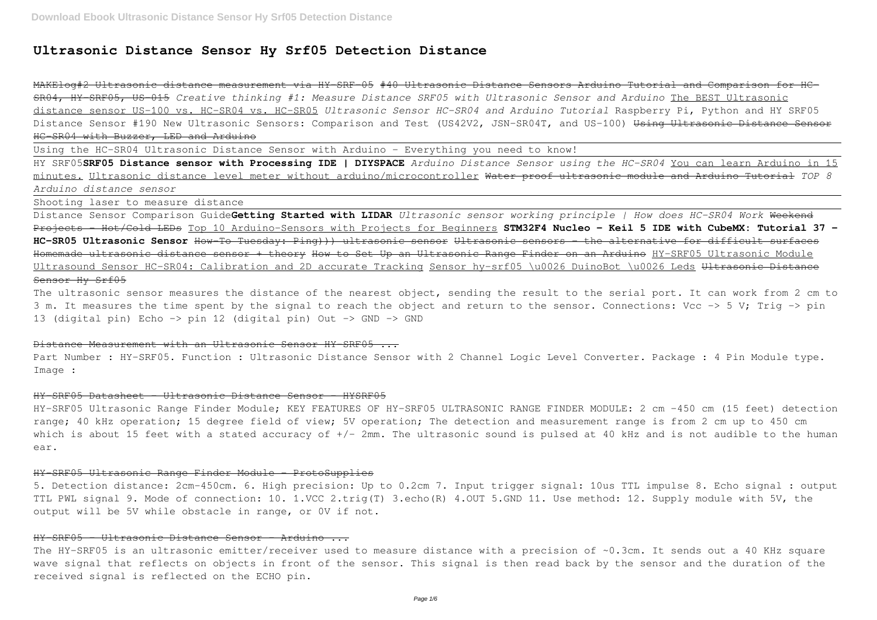# **Ultrasonic Distance Sensor Hy Srf05 Detection Distance**

MAKElog#2 Ultrasonic distance measurement via HY-SRF-05 #40 Ultrasonic Distance Sensors Arduino Tutorial and Comparison for HC-SR04, HY-SRF05, US-015 *Creative thinking #1: Measure Distance SRF05 with Ultrasonic Sensor and Arduino* The BEST Ultrasonic distance sensor US-100 vs. HC-SR04 vs. HC-SR05 *Ultrasonic Sensor HC-SR04 and Arduino Tutorial* Raspberry Pi, Python and HY SRF05 Distance Sensor #190 New Ultrasonic Sensors: Comparison and Test (US42V2, JSN-SR04T, and US-100) <del>Using Ultrasonic Distance Sensor</del> HC-SR04 with Buzzer, LED and Arduino

Using the HC-SR04 Ultrasonic Distance Sensor with Arduino - Everything you need to know!

HY SRF05**SRF05 Distance sensor with Processing IDE | DIYSPACE** *Arduino Distance Sensor using the HC-SR04* You can learn Arduino in 15 minutes. Ultrasonic distance level meter without arduino/microcontroller Water proof ultrasonic module and Arduino Tutorial *TOP 8 Arduino distance sensor*

The ultrasonic sensor measures the distance of the nearest object, sending the result to the serial port. It can work from 2 cm to 3 m. It measures the time spent by the signal to reach the object and return to the sensor. Connections: Vcc  $\rightarrow$  5 V; Trig  $\rightarrow$  pin 13 (digital pin) Echo -> pin 12 (digital pin) Out -> GND -> GND

Shooting laser to measure distance

Part Number : HY-SRF05. Function : Ultrasonic Distance Sensor with 2 Channel Logic Level Converter. Package : 4 Pin Module type. Image :

HY-SRF05 Ultrasonic Range Finder Module; KEY FEATURES OF HY-SRF05 ULTRASONIC RANGE FINDER MODULE: 2 cm -450 cm (15 feet) detection range; 40 kHz operation; 15 degree field of view; 5V operation; The detection and measurement range is from 2 cm up to 450 cm which is about 15 feet with a stated accuracy of +/- 2mm. The ultrasonic sound is pulsed at 40 kHz and is not audible to the human ear.

Distance Sensor Comparison Guide**Getting Started with LIDAR** *Ultrasonic sensor working principle | How does HC-SR04 Work* Weekend Projects - Hot/Cold LEDs Top 10 Arduino-Sensors with Projects for Beginners **STM32F4 Nucleo - Keil 5 IDE with CubeMX: Tutorial 37 - HC-SR05 Ultrasonic Sensor** How-To Tuesday: Ping))) ultrasonic sensor Ultrasonic sensors – the alternative for difficult surfaces Homemade ultrasonic distance sensor + theory How to Set Up an Ultrasonic Range Finder on an Arduino HY-SRF05 Ultrasonic Module Ultrasound Sensor HC-SR04: Calibration and 2D accurate Tracking Sensor hy-srf05 \u0026 DuinoBot \u0026 Leds Ultrasonic Distance Sensor Hy Srf05

The HY-SRF05 is an ultrasonic emitter/receiver used to measure distance with a precision of ~0.3cm. It sends out a 40 KHz square wave signal that reflects on objects in front of the sensor. This signal is then read back by the sensor and the duration of the received signal is reflected on the ECHO pin.

## Distance Measurement with an Ultrasonic Sensor HY-SRF05 ...

#### HY-SRF05 Datasheet - Ultrasonic Distance Sensor - HYSRF05

#### HY-SRF05 Ultrasonic Range Finder Module - ProtoSupplies

5. Detection distance: 2cm-450cm. 6. High precision: Up to 0.2cm 7. Input trigger signal: 10us TTL impulse 8. Echo signal : output TTL PWL signal 9. Mode of connection: 10. 1.VCC 2.trig(T) 3.echo(R) 4.OUT 5.GND 11. Use method: 12. Supply module with 5V, the output will be 5V while obstacle in range, or 0V if not.

## HY-SRF05 - Ultrasonic Distance Sensor - Arduino ...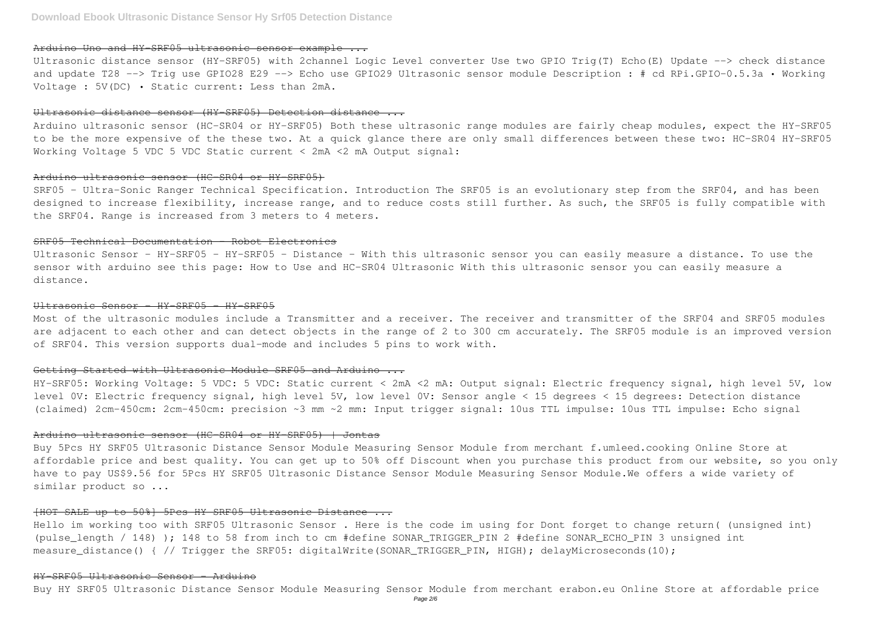## Arduino Uno and HY SRF05 ultrasonic sensor example ...

Ultrasonic distance sensor (HY-SRF05) with 2channel Logic Level converter Use two GPIO Trig(T) Echo(E) Update --> check distance and update T28 --> Trig use GPIO28 E29 --> Echo use GPIO29 Ultrasonic sensor module Description : # cd RPi.GPIO-0.5.3a · Working Voltage : 5V(DC) • Static current: Less than 2mA.

## Ultrasonic distance sensor (HY-SRF05) Detection distance ...

SRF05 - Ultra-Sonic Ranger Technical Specification. Introduction The SRF05 is an evolutionary step from the SRF04, and has been designed to increase flexibility, increase range, and to reduce costs still further. As such, the SRF05 is fully compatible with the SRF04. Range is increased from 3 meters to 4 meters.

Arduino ultrasonic sensor (HC-SR04 or HY-SRF05) Both these ultrasonic range modules are fairly cheap modules, expect the HY-SRF05 to be the more expensive of the these two. At a quick glance there are only small differences between these two: HC-SR04 HY-SRF05 Working Voltage 5 VDC 5 VDC Static current < 2mA <2 mA Output signal:

#### Arduino ultrasonic sensor (HC-SR04 or HY-SRF05)

## SRF05 Technical Documentation - Robot Electronics

Ultrasonic Sensor - HY-SRF05 - HY-SRF05 - Distance - With this ultrasonic sensor you can easily measure a distance. To use the sensor with arduino see this page: How to Use and HC-SR04 Ultrasonic With this ultrasonic sensor you can easily measure a distance.

Hello im working too with SRF05 Ultrasonic Sensor . Here is the code im using for Dont forget to change return( (unsigned int) (pulse\_length / 148) ); 148 to 58 from inch to cm #define SONAR\_TRIGGER\_PIN 2 #define SONAR\_ECHO\_PIN 3 unsigned int measure\_distance() { // Trigger the SRF05: digitalWrite(SONAR\_TRIGGER\_PIN, HIGH); delayMicroseconds(10);

#### Ultrasonic Sensor - HY-SRF05 - HY-SRF05

Most of the ultrasonic modules include a Transmitter and a receiver. The receiver and transmitter of the SRF04 and SRF05 modules are adjacent to each other and can detect objects in the range of 2 to 300 cm accurately. The SRF05 module is an improved version of SRF04. This version supports dual-mode and includes 5 pins to work with.

## Getting Started with Ultrasonic Module SRF05 and Arduino ...

HY-SRF05: Working Voltage: 5 VDC: 5 VDC: Static current < 2mA <2 mA: Output signal: Electric frequency signal, high level 5V, low level 0V: Electric frequency signal, high level 5V, low level 0V: Sensor angle < 15 degrees < 15 degrees: Detection distance (claimed) 2cm-450cm: 2cm-450cm: precision ~3 mm ~2 mm: Input trigger signal: 10us TTL impulse: 10us TTL impulse: Echo signal

### Arduino ultrasonic sensor (HC-SR04 or HY-SRF05) | Jontas

Buy 5Pcs HY SRF05 Ultrasonic Distance Sensor Module Measuring Sensor Module from merchant f.umleed.cooking Online Store at affordable price and best quality. You can get up to 50% off Discount when you purchase this product from our website, so you only have to pay US\$9.56 for 5Pcs HY SRF05 Ultrasonic Distance Sensor Module Measuring Sensor Module.We offers a wide variety of similar product so ...

## [HOT SALE up to 50%] 5Pcs HY SRF05 Ultrasonic Distance ...

## HY-SRF05 Ultrasonic Sensor - Arduino

Buy HY SRF05 Ultrasonic Distance Sensor Module Measuring Sensor Module from merchant erabon.eu Online Store at affordable price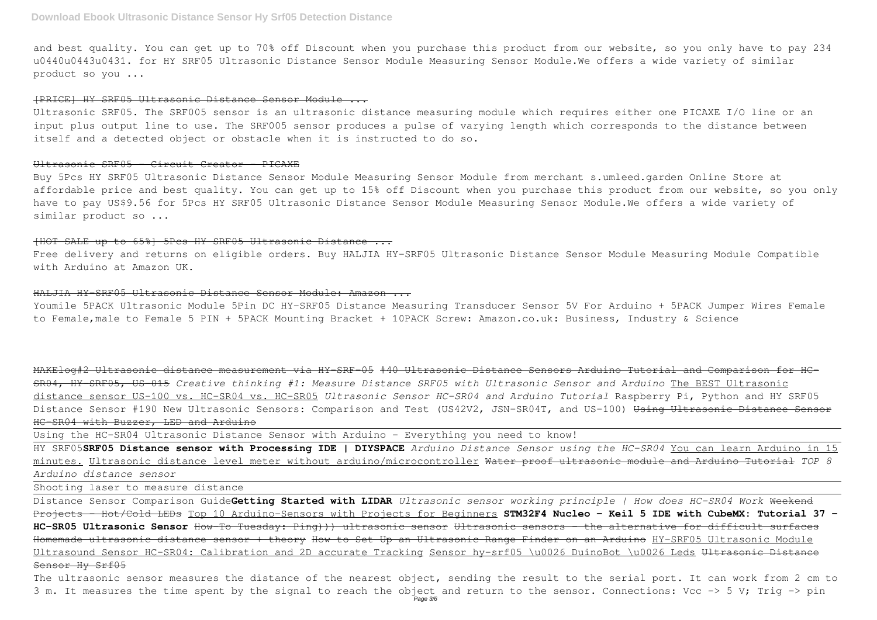and best quality. You can get up to 70% off Discount when you purchase this product from our website, so you only have to pay 234 u0440u0443u0431. for HY SRF05 Ultrasonic Distance Sensor Module Measuring Sensor Module.We offers a wide variety of similar product so you ...

#### [PRICE] HY SRF05 Ultrasonic Distance Sensor Module ...

Ultrasonic SRF05. The SRF005 sensor is an ultrasonic distance measuring module which requires either one PICAXE I/O line or an input plus output line to use. The SRF005 sensor produces a pulse of varying length which corresponds to the distance between itself and a detected object or obstacle when it is instructed to do so.

#### Ultrasonic SRF05 - Circuit Creator - PICAXE

Buy 5Pcs HY SRF05 Ultrasonic Distance Sensor Module Measuring Sensor Module from merchant s.umleed.garden Online Store at affordable price and best quality. You can get up to 15% off Discount when you purchase this product from our website, so you only have to pay US\$9.56 for 5Pcs HY SRF05 Ultrasonic Distance Sensor Module Measuring Sensor Module.We offers a wide variety of similar product so ...

## [HOT SALE up to 65%] 5Pcs HY SRF05 Ultrasonic Distance ...

Free delivery and returns on eligible orders. Buy HALJIA HY-SRF05 Ultrasonic Distance Sensor Module Measuring Module Compatible with Arduino at Amazon UK.

#### HALJIA HY-SRF05 Ultrasonic Distance Sensor Module: Amazon ...

Youmile 5PACK Ultrasonic Module 5Pin DC HY-SRF05 Distance Measuring Transducer Sensor 5V For Arduino + 5PACK Jumper Wires Female to Female,male to Female 5 PIN + 5PACK Mounting Bracket + 10PACK Screw: Amazon.co.uk: Business, Industry & Science

MAKElog#2 Ultrasonic distance measurement via HY-SRF-05 #40 Ultrasonic Distance Sensors Arduino Tutorial and Comparison for HC-SR04, HY-SRF05, US-015 *Creative thinking #1: Measure Distance SRF05 with Ultrasonic Sensor and Arduino* The BEST Ultrasonic distance sensor US-100 vs. HC-SR04 vs. HC-SR05 *Ultrasonic Sensor HC-SR04 and Arduino Tutorial* Raspberry Pi, Python and HY SRF05 Distance Sensor #190 New Ultrasonic Sensors: Comparison and Test (US42V2, JSN-SR04T, and US-100) <del>Using Ultrasonic Distance Sensor</del> HC-SR04 with Buzzer, LED and Arduino

Using the HC-SR04 Ultrasonic Distance Sensor with Arduino - Everything you need to know!

HY SRF05**SRF05 Distance sensor with Processing IDE | DIYSPACE** *Arduino Distance Sensor using the HC-SR04* You can learn Arduino in 15 minutes. Ultrasonic distance level meter without arduino/microcontroller Water proof ultrasonic module and Arduino Tutorial *TOP 8 Arduino distance sensor*

Shooting laser to measure distance

Distance Sensor Comparison Guide**Getting Started with LIDAR** *Ultrasonic sensor working principle | How does HC-SR04 Work* Weekend Projects - Hot/Cold LEDs Top 10 Arduino-Sensors with Projects for Beginners **STM32F4 Nucleo - Keil 5 IDE with CubeMX: Tutorial 37 - HC-SR05 Ultrasonic Sensor** How-To Tuesday: Ping))) ultrasonic sensor Ultrasonic sensors – the alternative for difficult surfaces Homemade ultrasonic distance sensor + theory How to Set Up an Ultrasonic Range Finder on an Arduino HY-SRF05 Ultrasonic Module Ultrasound Sensor HC-SR04: Calibration and 2D accurate Tracking Sensor hy-srf05 \u0026 DuinoBot \u0026 Leds Ultrasonic Distance Sensor Hy Srf05

The ultrasonic sensor measures the distance of the nearest object, sending the result to the serial port. It can work from 2 cm to 3 m. It measures the time spent by the signal to reach the object and return to the sensor. Connections: Vcc  $\rightarrow$  5 V; Trig  $\rightarrow$  pin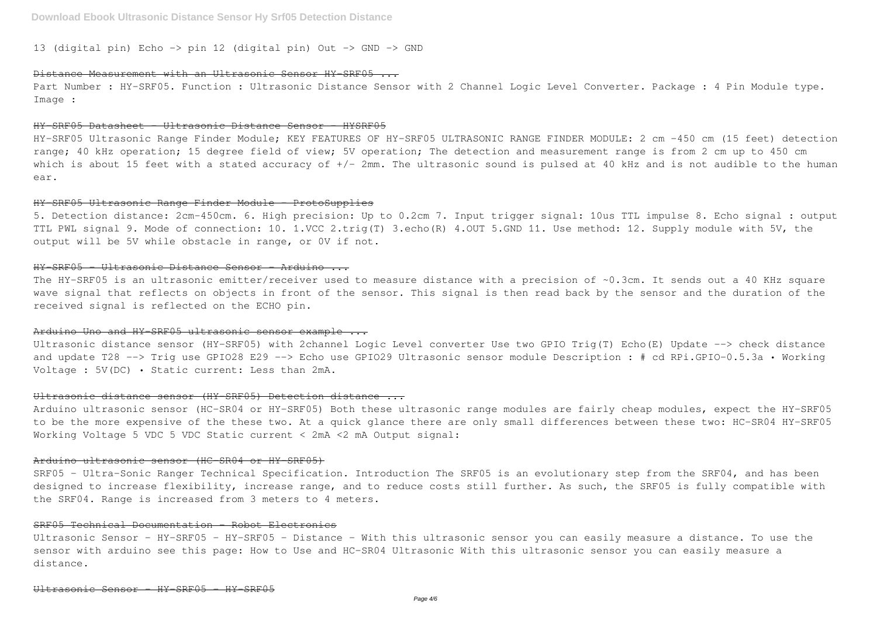13 (digital pin) Echo -> pin 12 (digital pin) Out -> GND -> GND

### Distance Measurement with an Ultrasonic Sensor HY-SRF05 ...

Part Number : HY-SRF05. Function : Ultrasonic Distance Sensor with 2 Channel Logic Level Converter. Package : 4 Pin Module type. Image :

#### HY-SRF05 Datasheet - Ultrasonic Distance Sensor - HYSRF05

HY-SRF05 Ultrasonic Range Finder Module; KEY FEATURES OF HY-SRF05 ULTRASONIC RANGE FINDER MODULE: 2 cm -450 cm (15 feet) detection range; 40 kHz operation; 15 degree field of view; 5V operation; The detection and measurement range is from 2 cm up to 450 cm which is about 15 feet with a stated accuracy of +/- 2mm. The ultrasonic sound is pulsed at 40 kHz and is not audible to the human ear.

The HY-SRF05 is an ultrasonic emitter/receiver used to measure distance with a precision of ~0.3cm. It sends out a 40 KHz square wave signal that reflects on objects in front of the sensor. This signal is then read back by the sensor and the duration of the received signal is reflected on the ECHO pin.

### Arduino Uno and HY SRF05 ultrasonic sensor example ...

#### HY-SRF05 Ultrasonic Range Finder Module - ProtoSupplies

5. Detection distance: 2cm-450cm. 6. High precision: Up to 0.2cm 7. Input trigger signal: 10us TTL impulse 8. Echo signal : output TTL PWL signal 9. Mode of connection: 10. 1.VCC 2.trig(T) 3.echo(R) 4.OUT 5.GND 11. Use method: 12. Supply module with 5V, the output will be 5V while obstacle in range, or 0V if not.

#### HY-SRF05 - Ultrasonic Distance Sensor - Arduino ...

Arduino ultrasonic sensor (HC-SR04 or HY-SRF05) Both these ultrasonic range modules are fairly cheap modules, expect the HY-SRF05 to be the more expensive of the these two. At a quick glance there are only small differences between these two: HC-SR04 HY-SRF05 Working Voltage 5 VDC 5 VDC Static current < 2mA <2 mA Output signal:

SRF05 - Ultra-Sonic Ranger Technical Specification. Introduction The SRF05 is an evolutionary step from the SRF04, and has been designed to increase flexibility, increase range, and to reduce costs still further. As such, the SRF05 is fully compatible with the SRF04. Range is increased from 3 meters to 4 meters.

Ultrasonic Sensor - HY-SRF05 - HY-SRF05 - Distance - With this ultrasonic sensor you can easily measure a distance. To use the sensor with arduino see this page: How to Use and HC-SR04 Ultrasonic With this ultrasonic sensor you can easily measure a distance.

Ultrasonic distance sensor (HY-SRF05) with 2channel Logic Level converter Use two GPIO Trig(T) Echo(E) Update --> check distance and update T28 --> Trig use GPIO28 E29 --> Echo use GPIO29 Ultrasonic sensor module Description : # cd RPi.GPIO-0.5.3a · Working Voltage : 5V(DC) • Static current: Less than 2mA.

## Ultrasonic distance sensor (HY-SRF05) Detection distance ...

## Arduino ultrasonic sensor (HC-SR04 or HY-SRF05)

### SRF05 Technical Documentation - Robot Electronics

- 
-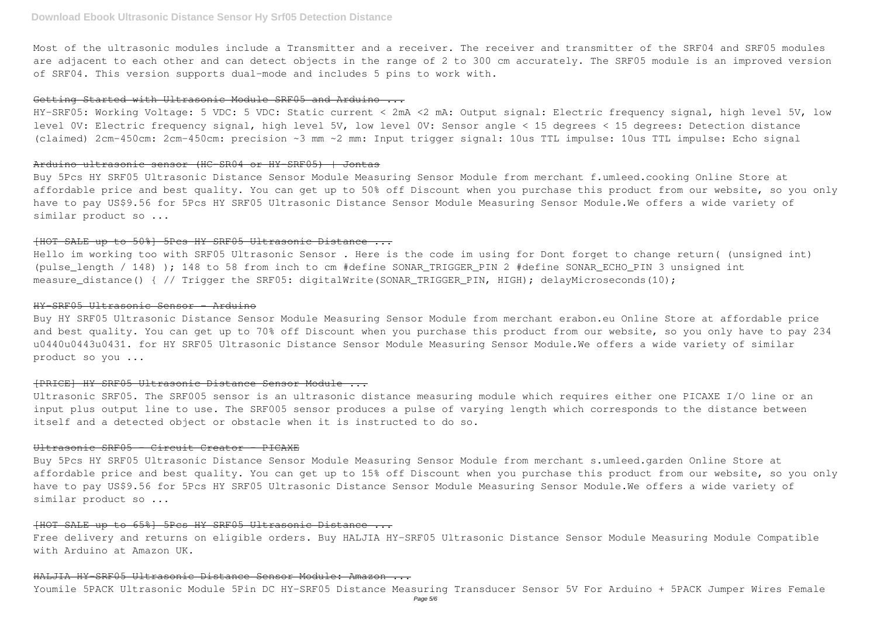Most of the ultrasonic modules include a Transmitter and a receiver. The receiver and transmitter of the SRF04 and SRF05 modules are adjacent to each other and can detect objects in the range of 2 to 300 cm accurately. The SRF05 module is an improved version of SRF04. This version supports dual-mode and includes 5 pins to work with.

#### Getting Started with Ultrasonic Module SRF05 and Arduino ...

HY-SRF05: Working Voltage: 5 VDC: 5 VDC: Static current < 2mA <2 mA: Output signal: Electric frequency signal, high level 5V, low level 0V: Electric frequency signal, high level 5V, low level 0V: Sensor angle < 15 degrees < 15 degrees: Detection distance (claimed) 2cm-450cm: 2cm-450cm: precision ~3 mm ~2 mm: Input trigger signal: 10us TTL impulse: 10us TTL impulse: Echo signal

Hello im working too with SRF05 Ultrasonic Sensor . Here is the code im using for Dont forget to change return( (unsigned int) (pulse\_length / 148) ); 148 to 58 from inch to cm #define SONAR\_TRIGGER\_PIN 2 #define SONAR\_ECHO\_PIN 3 unsigned int measure\_distance() { // Trigger the SRF05: digitalWrite(SONAR\_TRIGGER\_PIN, HIGH); delayMicroseconds(10);

#### Arduino ultrasonic sensor (HC-SR04 or HY-SRF05) | Jontas

Buy 5Pcs HY SRF05 Ultrasonic Distance Sensor Module Measuring Sensor Module from merchant f.umleed.cooking Online Store at affordable price and best quality. You can get up to 50% off Discount when you purchase this product from our website, so you only have to pay US\$9.56 for 5Pcs HY SRF05 Ultrasonic Distance Sensor Module Measuring Sensor Module.We offers a wide variety of similar product so ...

Buy 5Pcs HY SRF05 Ultrasonic Distance Sensor Module Measuring Sensor Module from merchant s.umleed.garden Online Store at affordable price and best quality. You can get up to 15% off Discount when you purchase this product from our website, so you only have to pay US\$9.56 for 5Pcs HY SRF05 Ultrasonic Distance Sensor Module Measuring Sensor Module.We offers a wide variety of similar product so ...

## [HOT SALE up to 50%] 5Pcs HY SRF05 Ultrasonic Distance ...

### HY-SRF05 Ultrasonic Sensor - Arduino

Buy HY SRF05 Ultrasonic Distance Sensor Module Measuring Sensor Module from merchant erabon.eu Online Store at affordable price and best quality. You can get up to 70% off Discount when you purchase this product from our website, so you only have to pay 234 u0440u0443u0431. for HY SRF05 Ultrasonic Distance Sensor Module Measuring Sensor Module.We offers a wide variety of similar product so you ...

## [PRICE] HY SRF05 Ultrasonic Distance Sensor Module ...

Ultrasonic SRF05. The SRF005 sensor is an ultrasonic distance measuring module which requires either one PICAXE I/O line or an input plus output line to use. The SRF005 sensor produces a pulse of varying length which corresponds to the distance between itself and a detected object or obstacle when it is instructed to do so.

## Ultrasonic SRF05 - Circuit Creator - PICAXE

#### [HOT SALE up to 65%] 5Pcs HY SRF05 Ultrasonic Distance ...

Free delivery and returns on eligible orders. Buy HALJIA HY-SRF05 Ultrasonic Distance Sensor Module Measuring Module Compatible with Arduino at Amazon UK.

## HALJIA HY-SRF05 Ultrasonic Distance Sensor Module: Amazon ...

Youmile 5PACK Ultrasonic Module 5Pin DC HY-SRF05 Distance Measuring Transducer Sensor 5V For Arduino + 5PACK Jumper Wires Female